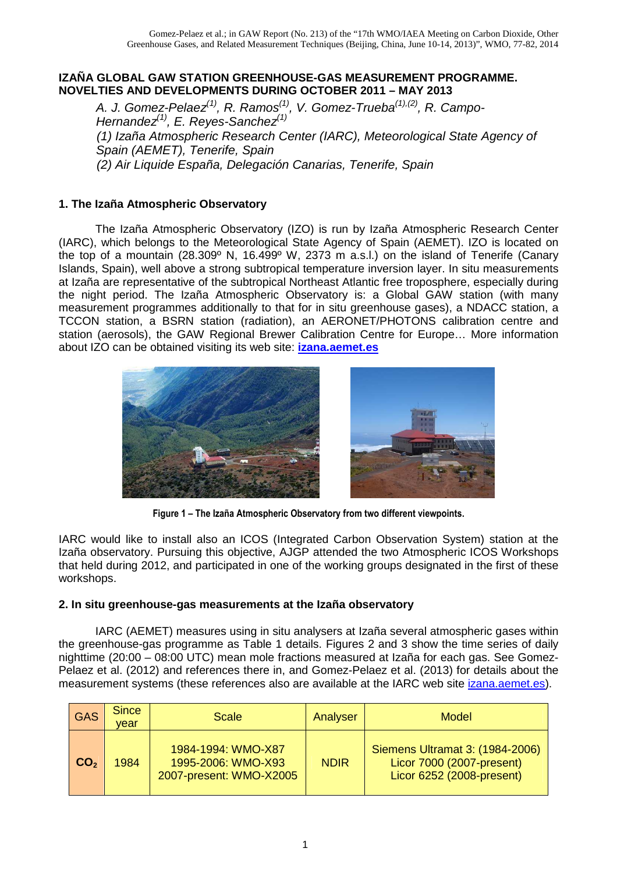### **IZAÑA GLOBAL GAW STATION GREENHOUSE-GAS MEASUREMENT PROGRAMME. NOVELTIES AND DEVELOPMENTS DURING OCTOBER 2011 – MAY 2013**

A. J. Gomez-Pelaez<sup>(1)</sup>, R. Ramos<sup>(1)</sup>, V. Gomez-Trueba<sup>(1),(2)</sup>, R. Campo-Hernandez<sup>(1)</sup>, E. Reves-Sanchez<sup>(1)</sup> (1) Izaña Atmospheric Research Center (IARC), Meteorological State Agency of Spain (AEMET), Tenerife, Spain (2) Air Liquide España, Delegación Canarias, Tenerife, Spain

# **1. The Izaña Atmospheric Observatory**

The Izaña Atmospheric Observatory (IZO) is run by Izaña Atmospheric Research Center (IARC), which belongs to the Meteorological State Agency of Spain (AEMET). IZO is located on the top of a mountain (28.309° N, 16.499° W, 2373 m a.s.l.) on the island of Tenerife (Canary Islands, Spain), well above a strong subtropical temperature inversion layer. In situ measurements at Izaña are representative of the subtropical Northeast Atlantic free troposphere, especially during the night period. The Izaña Atmospheric Observatory is: a Global GAW station (with many measurement programmes additionally to that for in situ greenhouse gases), a NDACC station, a TCCON station, a BSRN station (radiation), an AERONET/PHOTONS calibration centre and station (aerosols), the GAW Regional Brewer Calibration Centre for Europe… More information about IZO can be obtained visiting its web site: **izana.aemet.es**





**Figure 1 – The Izaña Atmospheric Observatory from two different viewpoints.** 

IARC would like to install also an ICOS (Integrated Carbon Observation System) station at the Izaña observatory. Pursuing this objective, AJGP attended the two Atmospheric ICOS Workshops that held during 2012, and participated in one of the working groups designated in the first of these workshops.

### **2. In situ greenhouse-gas measurements at the Izaña observatory**

IARC (AEMET) measures using in situ analysers at Izaña several atmospheric gases within the greenhouse-gas programme as Table 1 details. Figures 2 and 3 show the time series of daily nighttime (20:00 – 08:00 UTC) mean mole fractions measured at Izaña for each gas. See Gomez-Pelaez et al. (2012) and references there in, and Gomez-Pelaez et al. (2013) for details about the measurement systems (these references also are available at the IARC web site *izana.aemet.es*).

| <b>GAS</b>      | <b>Since</b><br>vear | Scale                                                               | Analyser    | Model                                                                                     |
|-----------------|----------------------|---------------------------------------------------------------------|-------------|-------------------------------------------------------------------------------------------|
| CO <sub>2</sub> | 1984                 | 1984-1994: WMO-X87<br>1995-2006: WMO-X93<br>2007-present: WMO-X2005 | <b>NDIR</b> | Siemens Ultramat 3: (1984-2006)<br>Licor 7000 (2007-present)<br>Licor 6252 (2008-present) |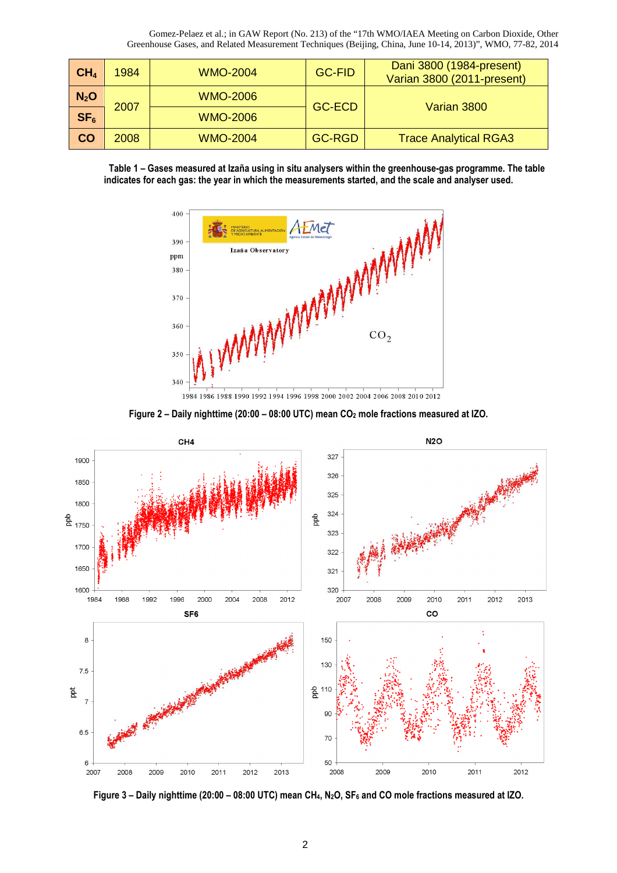| CH <sub>4</sub> | 1984 | <b>WMO-2004</b> | <b>GC-FID</b> | Dani 3800 (1984-present)<br>Varian 3800 (2011-present) |
|-----------------|------|-----------------|---------------|--------------------------------------------------------|
| $N_2$ O         | 2007 | <b>WMO-2006</b> | <b>GC-ECD</b> | Varian 3800                                            |
| SF <sub>6</sub> |      | <b>WMO-2006</b> |               |                                                        |
| <b>CO</b>       | 2008 | <b>WMO-2004</b> | <b>GC-RGD</b> | <b>Trace Analytical RGA3</b>                           |





1984 1986 1988 1990 1992 1994 1996 1998 2000 2002 2004 2006 2008 2010 2012





**Figure 3 – Daily nighttime (20:00 – 08:00 UTC) mean CH4, N2O, SF6 and CO mole fractions measured at IZO.**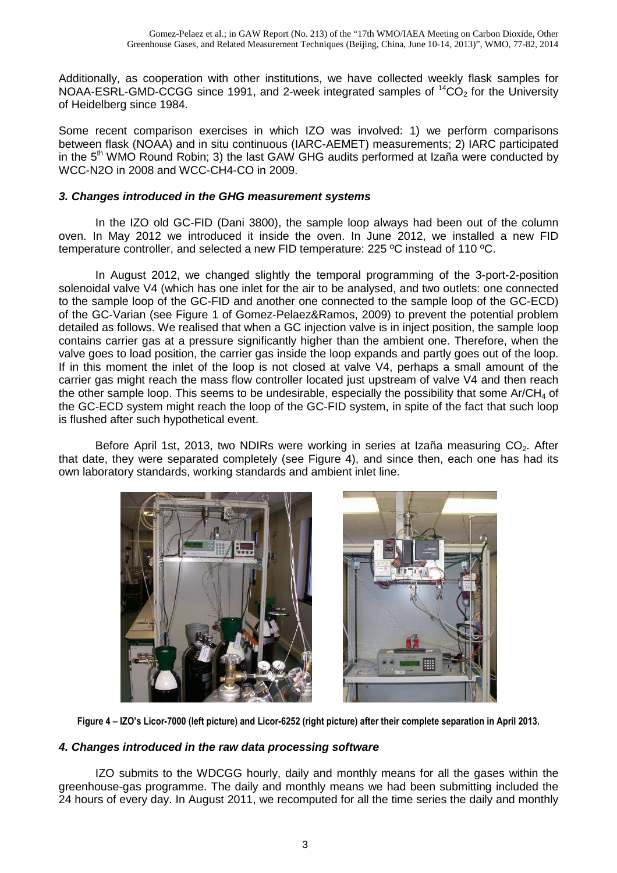Additionally, as cooperation with other institutions, we have collected weekly flask samples for NOAA-ESRL-GMD-CCGG since 1991, and 2-week integrated samples of  ${}^{14}CO<sub>2</sub>$  for the University of Heidelberg since 1984.

Some recent comparison exercises in which IZO was involved: 1) we perform comparisons between flask (NOAA) and in situ continuous (IARC-AEMET) measurements; 2) IARC participated in the  $5<sup>th</sup>$  WMO Round Robin; 3) the last GAW GHG audits performed at Izaña were conducted by WCC-N2O in 2008 and WCC-CH4-CO in 2009.

## **3. Changes introduced in the GHG measurement systems**

In the IZO old GC-FID (Dani 3800), the sample loop always had been out of the column oven. In May 2012 we introduced it inside the oven. In June 2012, we installed a new FID temperature controller, and selected a new FID temperature: 225 ºC instead of 110 ºC.

In August 2012, we changed slightly the temporal programming of the 3-port-2-position solenoidal valve V4 (which has one inlet for the air to be analysed, and two outlets: one connected to the sample loop of the GC-FID and another one connected to the sample loop of the GC-ECD) of the GC-Varian (see Figure 1 of Gomez-Pelaez&Ramos, 2009) to prevent the potential problem detailed as follows. We realised that when a GC injection valve is in inject position, the sample loop contains carrier gas at a pressure significantly higher than the ambient one. Therefore, when the valve goes to load position, the carrier gas inside the loop expands and partly goes out of the loop. If in this moment the inlet of the loop is not closed at valve V4, perhaps a small amount of the carrier gas might reach the mass flow controller located just upstream of valve V4 and then reach the other sample loop. This seems to be undesirable, especially the possibility that some  $Ar/CH<sub>4</sub>$  of the GC-ECD system might reach the loop of the GC-FID system, in spite of the fact that such loop is flushed after such hypothetical event.

Before April 1st, 2013, two NDIRs were working in series at Izaña measuring CO<sub>2</sub>. After that date, they were separated completely (see Figure 4), and since then, each one has had its own laboratory standards, working standards and ambient inlet line.





**Figure 4 – IZO's Licor-7000 (left picture) and Licor-6252 (right picture) after their complete separation in April 2013.** 

### **4. Changes introduced in the raw data processing software**

IZO submits to the WDCGG hourly, daily and monthly means for all the gases within the greenhouse-gas programme. The daily and monthly means we had been submitting included the 24 hours of every day. In August 2011, we recomputed for all the time series the daily and monthly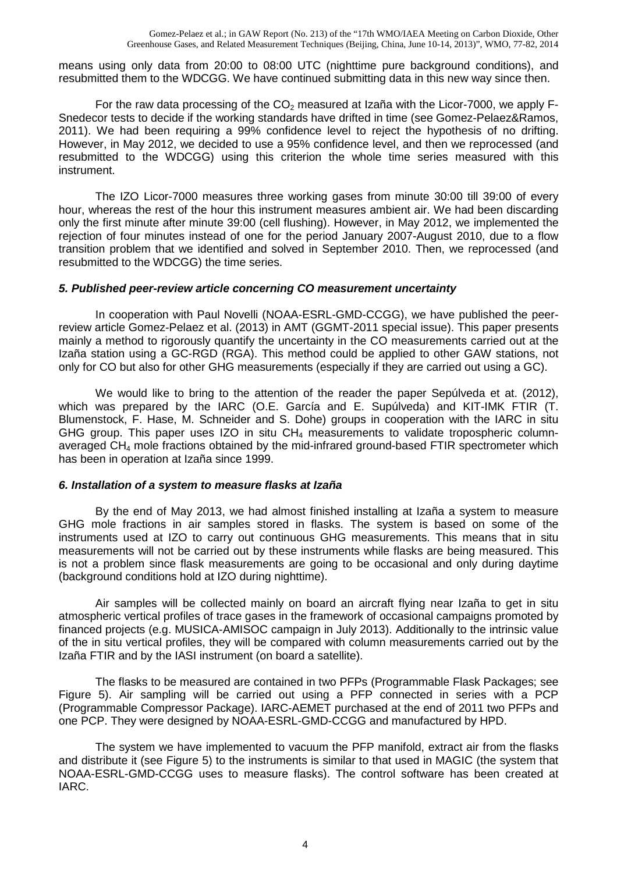means using only data from 20:00 to 08:00 UTC (nighttime pure background conditions), and resubmitted them to the WDCGG. We have continued submitting data in this new way since then.

For the raw data processing of the  $CO<sub>2</sub>$  measured at Izaña with the Licor-7000, we apply F-Snedecor tests to decide if the working standards have drifted in time (see Gomez-Pelaez&Ramos, 2011). We had been requiring a 99% confidence level to reject the hypothesis of no drifting. However, in May 2012, we decided to use a 95% confidence level, and then we reprocessed (and resubmitted to the WDCGG) using this criterion the whole time series measured with this instrument.

The IZO Licor-7000 measures three working gases from minute 30:00 till 39:00 of every hour, whereas the rest of the hour this instrument measures ambient air. We had been discarding only the first minute after minute 39:00 (cell flushing). However, in May 2012, we implemented the rejection of four minutes instead of one for the period January 2007-August 2010, due to a flow transition problem that we identified and solved in September 2010. Then, we reprocessed (and resubmitted to the WDCGG) the time series.

### **5. Published peer-review article concerning CO measurement uncertainty**

In cooperation with Paul Novelli (NOAA-ESRL-GMD-CCGG), we have published the peerreview article Gomez-Pelaez et al. (2013) in AMT (GGMT-2011 special issue). This paper presents mainly a method to rigorously quantify the uncertainty in the CO measurements carried out at the Izaña station using a GC-RGD (RGA). This method could be applied to other GAW stations, not only for CO but also for other GHG measurements (especially if they are carried out using a GC).

We would like to bring to the attention of the reader the paper Sepúlveda et at. (2012), which was prepared by the IARC (O.E. García and E. Supúlveda) and KIT-IMK FTIR (T. Blumenstock, F. Hase, M. Schneider and S. Dohe) groups in cooperation with the IARC in situ GHG group. This paper uses IZO in situ  $CH<sub>4</sub>$  measurements to validate tropospheric columnaveraged CH4 mole fractions obtained by the mid-infrared ground-based FTIR spectrometer which has been in operation at Izaña since 1999.

#### **6. Installation of a system to measure flasks at Izaña**

By the end of May 2013, we had almost finished installing at Izaña a system to measure GHG mole fractions in air samples stored in flasks. The system is based on some of the instruments used at IZO to carry out continuous GHG measurements. This means that in situ measurements will not be carried out by these instruments while flasks are being measured. This is not a problem since flask measurements are going to be occasional and only during daytime (background conditions hold at IZO during nighttime).

Air samples will be collected mainly on board an aircraft flying near Izaña to get in situ atmospheric vertical profiles of trace gases in the framework of occasional campaigns promoted by financed projects (e.g. MUSICA-AMISOC campaign in July 2013). Additionally to the intrinsic value of the in situ vertical profiles, they will be compared with column measurements carried out by the Izaña FTIR and by the IASI instrument (on board a satellite).

The flasks to be measured are contained in two PFPs (Programmable Flask Packages; see Figure 5). Air sampling will be carried out using a PFP connected in series with a PCP (Programmable Compressor Package). IARC-AEMET purchased at the end of 2011 two PFPs and one PCP. They were designed by NOAA-ESRL-GMD-CCGG and manufactured by HPD.

The system we have implemented to vacuum the PFP manifold, extract air from the flasks and distribute it (see Figure 5) to the instruments is similar to that used in MAGIC (the system that NOAA-ESRL-GMD-CCGG uses to measure flasks). The control software has been created at IARC.